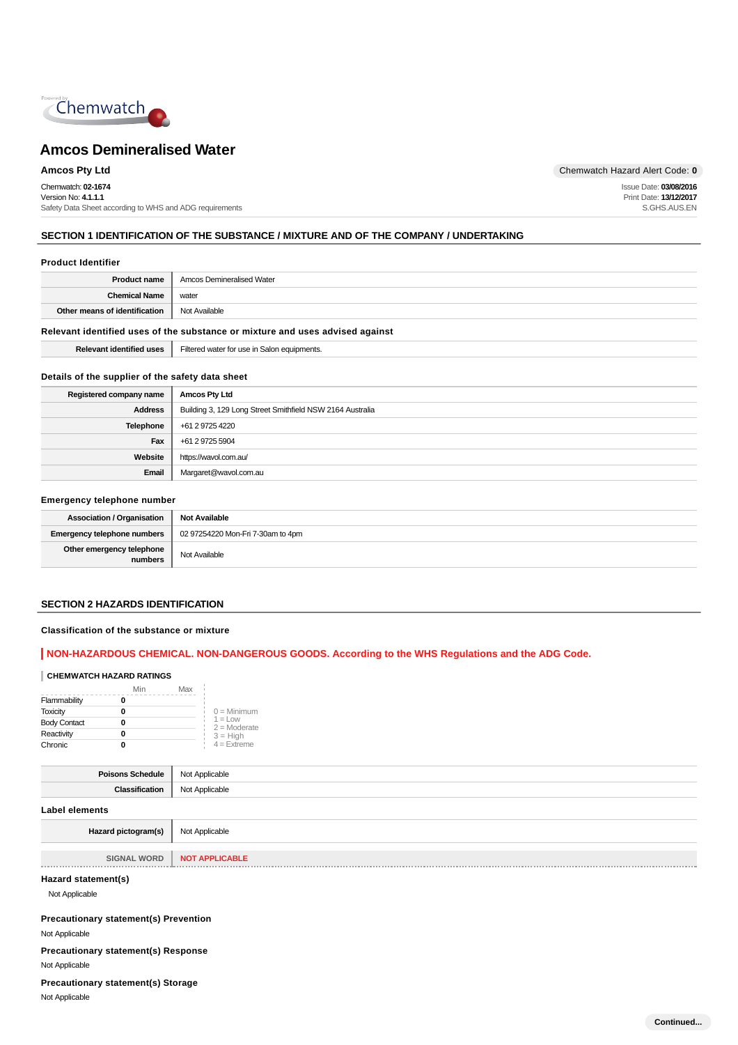

Chemwatch: **02-1674** Version No: **4.1.1.1** Safety Data Sheet according to WHS and ADG requirements

**Amcos Pty Ltd** Chemwatch Hazard Alert Code: 0

Issue Date: **03/08/2016** Print Date: **13/12/2017** S.GHS.AUS.EN

### **SECTION 1 IDENTIFICATION OF THE SUBSTANCE / MIXTURE AND OF THE COMPANY / UNDERTAKING**

#### **Product Identifier**

| Product name                  | ' Amcos Demineralised Water |  |
|-------------------------------|-----------------------------|--|
| <b>Chemical Name</b>          | water                       |  |
| Other means of identification | Not Available               |  |
| .<br>. .<br>.                 |                             |  |

#### **Relevant identified uses of the substance or mixture and uses advised against**

| .<br> | . .<br>ျေးရှ<br>wate<br>HOTOT<br>.omer<br>ווהר<br>.<br>111.71.7 |
|-------|-----------------------------------------------------------------|
|       |                                                                 |

#### **Details of the supplier of the safety data sheet**

| Registered company name | <b>Amcos Pty Ltd</b>                                      |
|-------------------------|-----------------------------------------------------------|
| <b>Address</b>          | Building 3, 129 Long Street Smithfield NSW 2164 Australia |
| <b>Telephone</b>        | +61 2 9725 4220                                           |
| Fax                     | +61 2 9725 5904                                           |
| Website                 | https://wavol.com.au/                                     |
| Email                   | Margaret@wavol.com.au                                     |

#### **Emergency telephone number**

| <b>Association / Organisation</b>    | <b>Not Available</b>              |
|--------------------------------------|-----------------------------------|
| <b>Emergency telephone numbers</b>   | 02 97254220 Mon-Fri 7-30am to 4pm |
| Other emergency telephone<br>numbers | Not Available                     |

#### **SECTION 2 HAZARDS IDENTIFICATION**

#### **Classification of the substance or mixture**

#### **NON-HAZARDOUS CHEMICAL. NON-DANGEROUS GOODS. According to the WHS Regulations and the ADG Code.**

#### **CHEMWATCH HAZARD RATINGS**

|                     | Min | Max |                              |
|---------------------|-----|-----|------------------------------|
| Flammability        |     |     |                              |
| <b>Toxicity</b>     |     |     | $0 =$ Minimum                |
| <b>Body Contact</b> |     |     | $1 = 1$ ow<br>$2 =$ Moderate |
| Reactivity          |     |     | $3 = High$                   |
| Chronic             |     |     | $4 =$ Extreme                |

| Poisons Schedule      | Not Applicable |  |
|-----------------------|----------------|--|
| Classification        | Not Applicable |  |
| <b>Label elements</b> |                |  |
| Hazard pictogram(s)   | Not Applicable |  |

#### **Hazard statement(s)**

Not Applicable

**Precautionary statement(s) Prevention**

Not Applicable

**Precautionary statement(s) Response**

Not Applicable

**Precautionary statement(s) Storage**

Not Applicable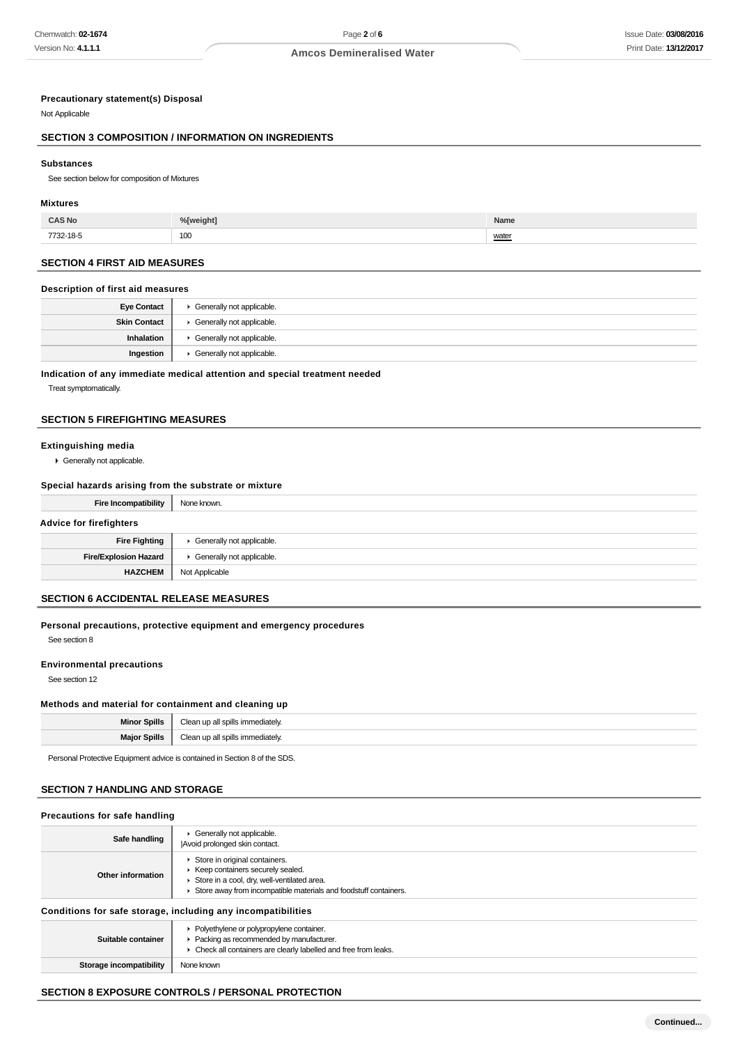#### **Precautionary statement(s) Disposal**

Not Applicable

#### **SECTION 3 COMPOSITION / INFORMATION ON INGREDIENTS**

#### **Substances**

See section below for composition of Mixtures

#### **Mixtures**

| <b>CAS No</b> | %[weight] | Name           |
|---------------|-----------|----------------|
| 7732-18-5     | 100       | water<br>_____ |

#### **SECTION 4 FIRST AID MEASURES**

#### **Description of first aid measures**

| <b>Eye Contact</b>  | Generally not applicable. |
|---------------------|---------------------------|
| <b>Skin Contact</b> | Generally not applicable. |
| Inhalation          | Generally not applicable. |
| Ingestion           | Generally not applicable. |

#### **Indication of any immediate medical attention and special treatment needed**

Treat symptomatically.

#### **SECTION 5 FIREFIGHTING MEASURES**

#### **Extinguishing media**

Generally not applicable.

#### **Special hazards arising from the substrate or mixture**

| <b>Fire Incompatibility</b>    | None known.               |
|--------------------------------|---------------------------|
| <b>Advice for firefighters</b> |                           |
| <b>Fire Fighting</b>           | Generally not applicable. |
| <b>Fire/Explosion Hazard</b>   | Generally not applicable. |
| <b>HAZCHEM</b>                 | Not Applicable            |

#### **SECTION 6 ACCIDENTAL RELEASE MEASURES**

#### **Personal precautions, protective equipment and emergency procedures**

See section 8

#### **Environmental precautions**

See section 12

#### **Methods and material for containment and cleaning up**

| Snills<br>Min         | -י<br>ייה^י∩nate\ |
|-----------------------|-------------------|
| Spills<br>Moi<br>IVIO | ediately.         |

Personal Protective Equipment advice is contained in Section 8 of the SDS.

#### **SECTION 7 HANDLING AND STORAGE**

| Precautions for safe handling                                |                                                                                                                                                                                        |  |
|--------------------------------------------------------------|----------------------------------------------------------------------------------------------------------------------------------------------------------------------------------------|--|
| Safe handling                                                | Generally not applicable.<br>Avoid prolonged skin contact.                                                                                                                             |  |
| Other information                                            | Store in original containers.<br>▶ Keep containers securely sealed.<br>Store in a cool, dry, well-ventilated area.<br>Store away from incompatible materials and foodstuff containers. |  |
| Conditions for safe storage, including any incompatibilities |                                                                                                                                                                                        |  |
| Suitable container                                           | • Polyethylene or polypropylene container.<br>Packing as recommended by manufacturer.<br>• Check all containers are clearly labelled and free from leaks.                              |  |

#### **Storage incompatibility** None known

#### **SECTION 8 EXPOSURE CONTROLS / PERSONAL PROTECTION**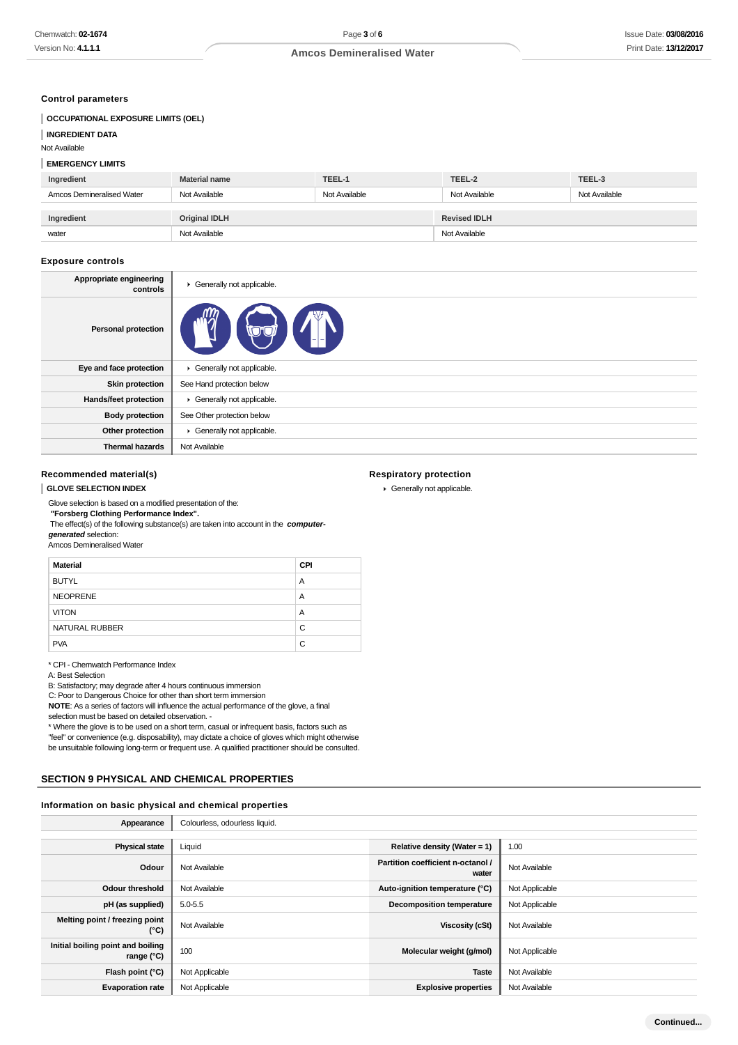#### **Control parameters**

| <b>OCCUPATIONAL EXPOSURE LIMITS (OEL)</b> |                      |               |                     |               |
|-------------------------------------------|----------------------|---------------|---------------------|---------------|
| <b>INGREDIENT DATA</b>                    |                      |               |                     |               |
| Not Available                             |                      |               |                     |               |
| <b>EMERGENCY LIMITS</b>                   |                      |               |                     |               |
| Ingredient                                | <b>Material name</b> | TEEL-1        | TEEL-2              | TEEL-3        |
| Amcos Demineralised Water                 | Not Available        | Not Available | Not Available       | Not Available |
|                                           |                      |               |                     |               |
| Ingredient                                | <b>Original IDLH</b> |               | <b>Revised IDLH</b> |               |
| water                                     | Not Available        |               | Not Available       |               |

#### **Exposure controls**

| Appropriate engineering<br>controls | Generally not applicable.  |
|-------------------------------------|----------------------------|
| <b>Personal protection</b>          |                            |
| Eye and face protection             | Generally not applicable.  |
| <b>Skin protection</b>              | See Hand protection below  |
| Hands/feet protection               | Generally not applicable.  |
| <b>Body protection</b>              | See Other protection below |
| Other protection                    | Generally not applicable.  |
| <b>Thermal hazards</b>              | Not Available              |

**Respiratory protection** Generally not applicable.

#### **Recommended material(s)**

#### **GLOVE SELECTION INDEX**

Glove selection is based on a modified presentation of the:

 **"Forsberg Clothing Performance Index".** The effect(s) of the following substance(s) are taken into account in the **computergenerated** selection:

Amcos Demineralised Water

| <b>Material</b> | <b>CPI</b> |
|-----------------|------------|
| <b>BUTYL</b>    | A          |
| <b>NEOPRENE</b> | A          |
| <b>VITON</b>    | A          |
| NATURAL RUBBER  | C          |
| <b>PVA</b>      | C          |

\* CPI - Chemwatch Performance Index

#### A: Best Selection

B: Satisfactory; may degrade after 4 hours continuous immersion

C: Poor to Dangerous Choice for other than short term immersion

**NOTE**: As a series of factors will influence the actual performance of the glove, a final

selection must be based on detailed observation. -

\* Where the glove is to be used on a short term, casual or infrequent basis, factors such as

"feel" or convenience (e.g. disposability), may dictate a choice of gloves which might otherwise

be unsuitable following long-term or frequent use. A qualified practitioner should be consulted.

#### **SECTION 9 PHYSICAL AND CHEMICAL PROPERTIES**

#### **Information on basic physical and chemical properties** Î.

| Appearance                                        | Colourless, odourless liquid. |                                            |                |
|---------------------------------------------------|-------------------------------|--------------------------------------------|----------------|
|                                                   |                               |                                            |                |
| <b>Physical state</b>                             | Liquid                        | Relative density (Water = $1$ )            | 1.00           |
| Odour                                             | Not Available                 | Partition coefficient n-octanol /<br>water | Not Available  |
| <b>Odour threshold</b>                            | Not Available                 | Auto-ignition temperature (°C)             | Not Applicable |
| pH (as supplied)                                  | $5.0 - 5.5$                   | <b>Decomposition temperature</b>           | Not Applicable |
| Melting point / freezing point<br>$(^{\circ}C)$   | Not Available                 | Viscosity (cSt)                            | Not Available  |
| Initial boiling point and boiling<br>range $(°C)$ | 100                           | Molecular weight (g/mol)                   | Not Applicable |
| Flash point (°C)                                  | Not Applicable                | <b>Taste</b>                               | Not Available  |
| <b>Evaporation rate</b>                           | Not Applicable                | <b>Explosive properties</b>                | Not Available  |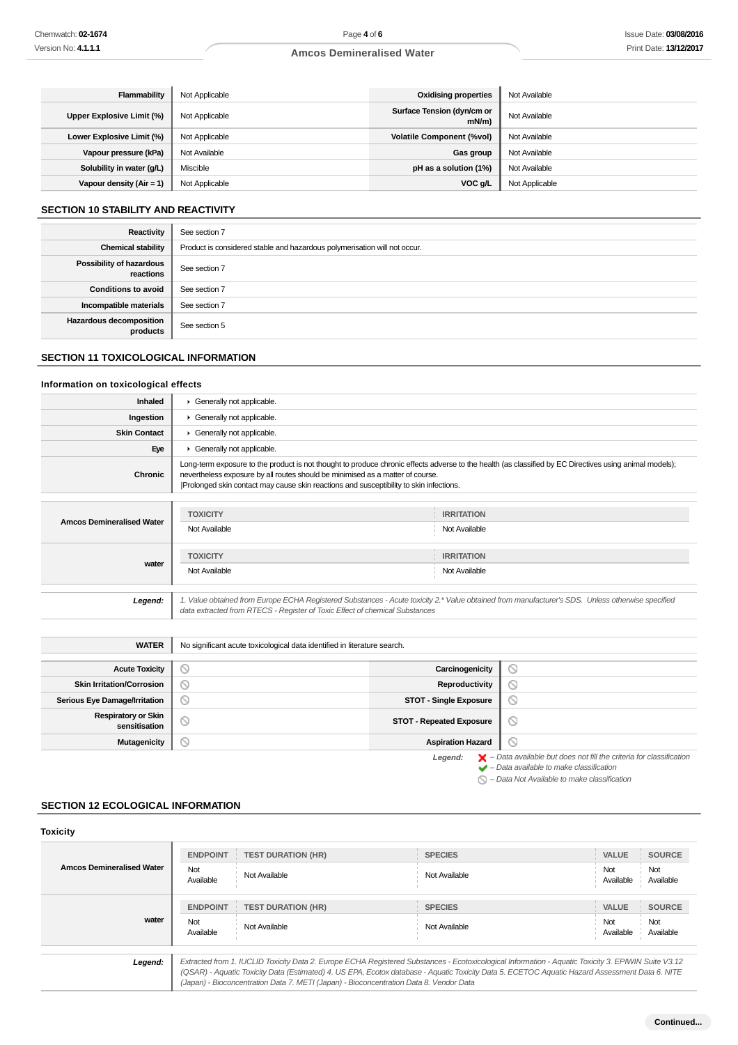| Flammability               | Not Applicable | <b>Oxidising properties</b>            | Not Available  |
|----------------------------|----------------|----------------------------------------|----------------|
| Upper Explosive Limit (%)  | Not Applicable | Surface Tension (dyn/cm or<br>$mN/m$ ) | Not Available  |
| Lower Explosive Limit (%)  | Not Applicable | <b>Volatile Component (%vol)</b>       | Not Available  |
| Vapour pressure (kPa)      | Not Available  | Gas group                              | Not Available  |
| Solubility in water (g/L)  | Miscible       | pH as a solution (1%)                  | Not Available  |
| Vapour density $(Air = 1)$ | Not Applicable | VOC g/L                                | Not Applicable |

#### **SECTION 10 STABILITY AND REACTIVITY**

| Reactivity                                 | See section 7                                                             |
|--------------------------------------------|---------------------------------------------------------------------------|
| <b>Chemical stability</b>                  | Product is considered stable and hazardous polymerisation will not occur. |
| Possibility of hazardous<br>reactions      | See section 7                                                             |
| <b>Conditions to avoid</b>                 | See section 7                                                             |
| Incompatible materials                     | See section 7                                                             |
| <b>Hazardous decomposition</b><br>products | See section 5                                                             |

#### **SECTION 11 TOXICOLOGICAL INFORMATION**

#### **Information on toxicological effects**

| Inhaled                                     | Generally not applicable.                                                                                                                                                                                                                                                                                                           |                                 |                                                                                                                                                                                                                     |  |
|---------------------------------------------|-------------------------------------------------------------------------------------------------------------------------------------------------------------------------------------------------------------------------------------------------------------------------------------------------------------------------------------|---------------------------------|---------------------------------------------------------------------------------------------------------------------------------------------------------------------------------------------------------------------|--|
| Ingestion                                   | Generally not applicable.                                                                                                                                                                                                                                                                                                           |                                 |                                                                                                                                                                                                                     |  |
| <b>Skin Contact</b>                         | Generally not applicable.                                                                                                                                                                                                                                                                                                           |                                 |                                                                                                                                                                                                                     |  |
| Eye                                         | Generally not applicable.                                                                                                                                                                                                                                                                                                           |                                 |                                                                                                                                                                                                                     |  |
| <b>Chronic</b>                              | Long-term exposure to the product is not thought to produce chronic effects adverse to the health (as classified by EC Directives using animal models);<br>nevertheless exposure by all routes should be minimised as a matter of course.<br>Prolonged skin contact may cause skin reactions and susceptibility to skin infections. |                                 |                                                                                                                                                                                                                     |  |
| <b>TOXICITY</b><br><b>IRRITATION</b>        |                                                                                                                                                                                                                                                                                                                                     |                                 |                                                                                                                                                                                                                     |  |
| <b>Amcos Demineralised Water</b>            | Not Available                                                                                                                                                                                                                                                                                                                       | Not Available                   |                                                                                                                                                                                                                     |  |
|                                             | <b>TOXICITY</b><br><b>IRRITATION</b>                                                                                                                                                                                                                                                                                                |                                 |                                                                                                                                                                                                                     |  |
| water                                       | Not Available<br>Not Available                                                                                                                                                                                                                                                                                                      |                                 |                                                                                                                                                                                                                     |  |
| Legend:                                     | 1. Value obtained from Europe ECHA Registered Substances - Acute toxicity 2.* Value obtained from manufacturer's SDS. Unless otherwise specified<br>data extracted from RTECS - Register of Toxic Effect of chemical Substances                                                                                                     |                                 |                                                                                                                                                                                                                     |  |
| <b>WATER</b>                                | No significant acute toxicological data identified in literature search.                                                                                                                                                                                                                                                            |                                 |                                                                                                                                                                                                                     |  |
| <b>Acute Toxicity</b>                       | $\circledcirc$                                                                                                                                                                                                                                                                                                                      | Carcinogenicity                 | O                                                                                                                                                                                                                   |  |
| <b>Skin Irritation/Corrosion</b>            | $\circledcirc$                                                                                                                                                                                                                                                                                                                      | Reproductivity                  | $\circledcirc$                                                                                                                                                                                                      |  |
| Serious Eye Damage/Irritation               | $\circledcirc$                                                                                                                                                                                                                                                                                                                      | <b>STOT - Single Exposure</b>   | $\circ$                                                                                                                                                                                                             |  |
| <b>Respiratory or Skin</b><br>sensitisation | $\circ$                                                                                                                                                                                                                                                                                                                             | <b>STOT - Repeated Exposure</b> | $\circledcirc$                                                                                                                                                                                                      |  |
| <b>Mutagenicity</b>                         | $\circ$                                                                                                                                                                                                                                                                                                                             | <b>Aspiration Hazard</b>        | Q                                                                                                                                                                                                                   |  |
|                                             |                                                                                                                                                                                                                                                                                                                                     | Legend:                         | $\blacktriangleright$ - Data available but does not fill the criteria for classification<br>$\blacktriangleright$ - Data available to make classification<br>$\bigcirc$ - Data Not Available to make classification |  |

#### **SECTION 12 ECOLOGICAL INFORMATION**

| <b>Toxicity</b>                  |                                     |                                                                                        |                                                                                                                                                                                                                                                                                                       |                                  |                                   |
|----------------------------------|-------------------------------------|----------------------------------------------------------------------------------------|-------------------------------------------------------------------------------------------------------------------------------------------------------------------------------------------------------------------------------------------------------------------------------------------------------|----------------------------------|-----------------------------------|
| <b>Amcos Demineralised Water</b> | <b>ENDPOINT</b><br>Not<br>Available | <b>TEST DURATION (HR)</b><br>Not Available                                             | <b>SPECIES</b><br>Not Available                                                                                                                                                                                                                                                                       | <b>VALUE</b><br>Not<br>Available | <b>SOURCE</b><br>Not<br>Available |
| water                            | <b>ENDPOINT</b><br>Not<br>Available | <b>TEST DURATION (HR)</b><br>Not Available                                             | <b>SPECIES</b><br>Not Available                                                                                                                                                                                                                                                                       | <b>VALUE</b><br>Not<br>Available | <b>SOURCE</b><br>Not<br>Available |
| Legend:                          |                                     | (Japan) - Bioconcentration Data 7. METI (Japan) - Bioconcentration Data 8. Vendor Data | Extracted from 1. IUCLID Toxicity Data 2. Europe ECHA Registered Substances - Ecotoxicological Information - Aquatic Toxicity 3. EPIWIN Suite V3.12<br>(QSAR) - Aquatic Toxicity Data (Estimated) 4. US EPA, Ecotox database - Aquatic Toxicity Data 5. ECETOC Aquatic Hazard Assessment Data 6. NITE |                                  |                                   |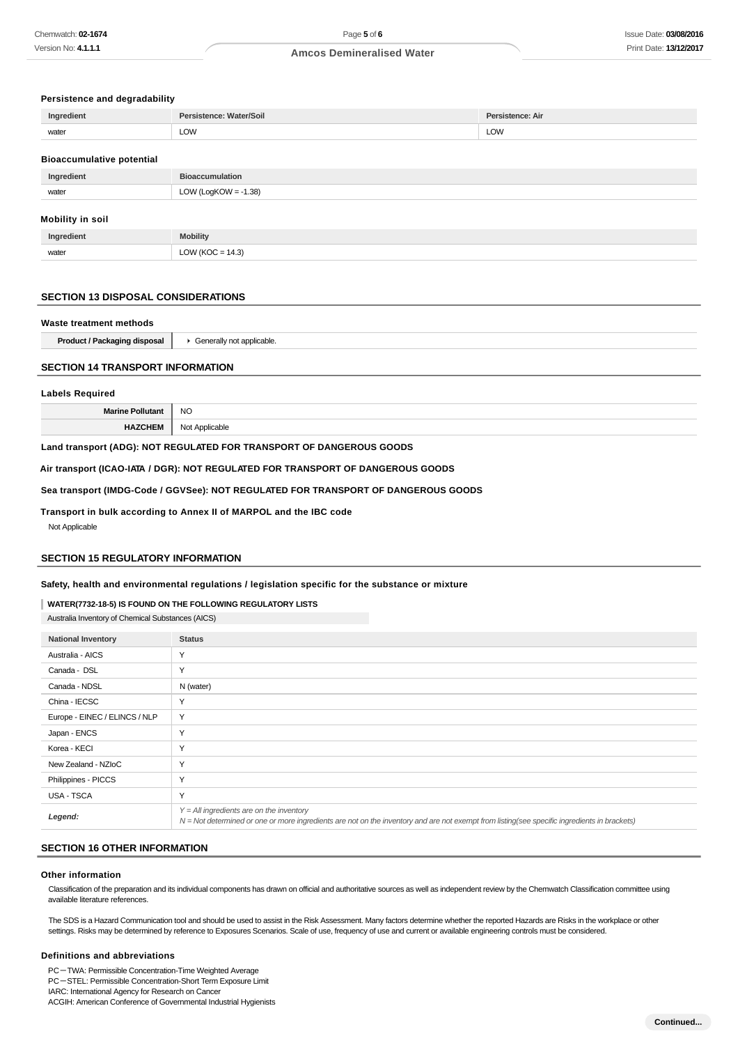#### **Persistence and degradability**

| Ingredient                       | Persistence: Water/Soil | Persistence: Air |
|----------------------------------|-------------------------|------------------|
| water                            | LOW                     | <b>LOW</b>       |
| <b>Bioaccumulative potential</b> |                         |                  |
| Ingredient                       | <b>Bioaccumulation</b>  |                  |
| water                            | LOW (LogKOW = $-1.38$ ) |                  |

#### **Mobility in soil**

| edient' | <b>bility</b>                                                            |
|---------|--------------------------------------------------------------------------|
| water   | (14.3)<br>$\overline{\phantom{a}}$<br>$\overline{\phantom{a}}$<br>$\sim$ |

#### **SECTION 13 DISPOSAL CONSIDERATIONS**

# **Waste treatment methods Product / Packaging disposal | F** Generally not applicable.

#### **SECTION 14 TRANSPORT INFORMATION**

# **Labels Required Marine Pollutant** NO **HAZCHEM** Not Applicable

#### **Land transport (ADG): NOT REGULATED FOR TRANSPORT OF DANGEROUS GOODS**

**Air transport (ICAO-IATA / DGR): NOT REGULATED FOR TRANSPORT OF DANGEROUS GOODS**

**Sea transport (IMDG-Code / GGVSee): NOT REGULATED FOR TRANSPORT OF DANGEROUS GOODS**

**Transport in bulk according to Annex II of MARPOL and the IBC code**

Not Applicable

#### **SECTION 15 REGULATORY INFORMATION**

#### **Safety, health and environmental regulations / legislation specific for the substance or mixture**

**WATER(7732-18-5) IS FOUND ON THE FOLLOWING REGULATORY LISTS**

Australia Inventory of Chemical Substances (AICS)

| <b>National Inventory</b>     | <b>Status</b>                                                                                                                                                                              |
|-------------------------------|--------------------------------------------------------------------------------------------------------------------------------------------------------------------------------------------|
| Australia - AICS              | Y                                                                                                                                                                                          |
| Canada - DSL                  | Y                                                                                                                                                                                          |
| Canada - NDSL                 | N (water)                                                                                                                                                                                  |
| China - IECSC                 | Y                                                                                                                                                                                          |
| Europe - EINEC / ELINCS / NLP | Y                                                                                                                                                                                          |
| Japan - ENCS                  | Y                                                                                                                                                                                          |
| Korea - KECI                  | Y                                                                                                                                                                                          |
| New Zealand - NZIoC           | Y                                                                                                                                                                                          |
| Philippines - PICCS           | Y                                                                                                                                                                                          |
| USA - TSCA                    | Y                                                                                                                                                                                          |
| Legend:                       | $Y = All$ ingredients are on the inventory<br>N = Not determined or one or more ingredients are not on the inventory and are not exempt from listing(see specific ingredients in brackets) |

#### **SECTION 16 OTHER INFORMATION**

#### **Other information**

Classification of the preparation and its individual components has drawn on official and authoritative sources as well as independent review by the Chemwatch Classification committee using available literature references.

The SDS is a Hazard Communication tool and should be used to assist in the Risk Assessment. Many factors determine whether the reported Hazards are Risks in the workplace or other settings. Risks may be determined by reference to Exposures Scenarios. Scale of use, frequency of use and current or available engineering controls must be considered.

#### **Definitions and abbreviations**

PC-TWA: Permissible Concentration-Time Weighted Average PC-STEL: Permissible Concentration-Short Term Exposure Limit IARC: International Agency for Research on Cancer ACGIH: American Conference of Governmental Industrial Hygienists